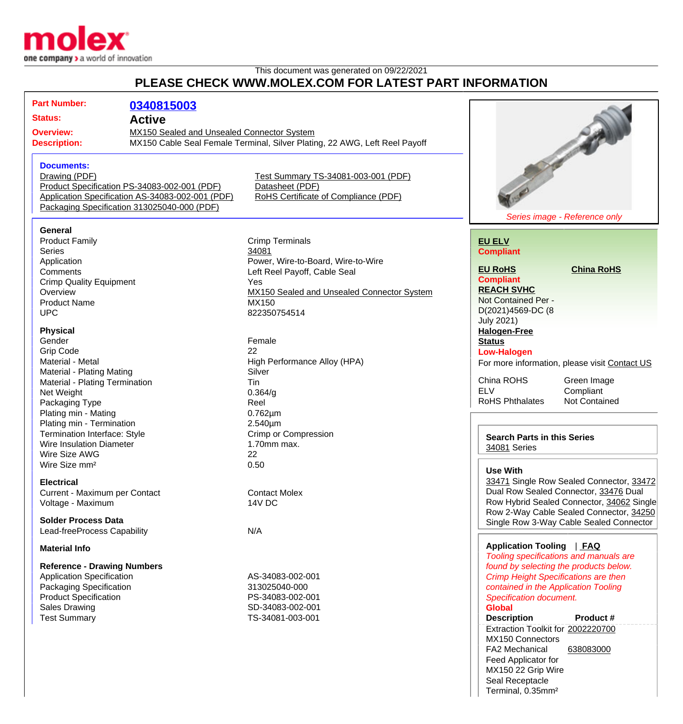

## This document was generated on 09/22/2021 **PLEASE CHECK WWW.MOLEX.COM FOR LATEST PART INFORMATION**

| F LLAJL VIILVI\ WWW.MVLLA.VVM I VI\ LATLJI FAI\T INI VI\MATIVI\                          |                                              |                                                                            |                                               |                                             |  |
|------------------------------------------------------------------------------------------|----------------------------------------------|----------------------------------------------------------------------------|-----------------------------------------------|---------------------------------------------|--|
| <b>Part Number:</b>                                                                      | 0340815003                                   |                                                                            |                                               |                                             |  |
| <b>Status:</b>                                                                           | <b>Active</b>                                |                                                                            |                                               |                                             |  |
| <b>Overview:</b>                                                                         | MX150 Sealed and Unsealed Connector System   |                                                                            |                                               |                                             |  |
| <b>Description:</b>                                                                      |                                              | MX150 Cable Seal Female Terminal, Silver Plating, 22 AWG, Left Reel Payoff |                                               | Service of the Contract of the              |  |
| <b>Documents:</b>                                                                        |                                              |                                                                            |                                               |                                             |  |
| Drawing (PDF)                                                                            |                                              | Test Summary TS-34081-003-001 (PDF)                                        |                                               |                                             |  |
|                                                                                          | Product Specification PS-34083-002-001 (PDF) | Datasheet (PDF)                                                            |                                               |                                             |  |
| Application Specification AS-34083-002-001 (PDF)<br>RoHS Certificate of Compliance (PDF) |                                              |                                                                            |                                               |                                             |  |
| Packaging Specification 313025040-000 (PDF)                                              |                                              |                                                                            |                                               |                                             |  |
|                                                                                          |                                              |                                                                            |                                               | Series image - Reference only               |  |
| General                                                                                  |                                              |                                                                            |                                               |                                             |  |
| <b>Product Family</b>                                                                    |                                              | <b>Crimp Terminals</b>                                                     | <b>EU ELV</b>                                 |                                             |  |
| <b>Series</b>                                                                            |                                              | 34081                                                                      | <b>Compliant</b>                              |                                             |  |
| Application<br>Comments                                                                  |                                              | Power, Wire-to-Board, Wire-to-Wire                                         | <b>EU RoHS</b>                                | <b>China RoHS</b>                           |  |
|                                                                                          |                                              | Left Reel Payoff, Cable Seal<br>Yes                                        | <b>Compliant</b>                              |                                             |  |
| <b>Crimp Quality Equipment</b><br>Overview                                               |                                              | MX150 Sealed and Unsealed Connector System                                 | <b>REACH SVHC</b>                             |                                             |  |
| <b>Product Name</b>                                                                      |                                              | MX150                                                                      | Not Contained Per -                           |                                             |  |
| <b>UPC</b>                                                                               |                                              | 822350754514                                                               | D(2021)4569-DC (8                             |                                             |  |
|                                                                                          |                                              |                                                                            | <b>July 2021)</b>                             |                                             |  |
| <b>Physical</b>                                                                          |                                              |                                                                            | <b>Halogen-Free</b>                           |                                             |  |
| Gender                                                                                   |                                              | Female                                                                     | <b>Status</b>                                 |                                             |  |
| <b>Grip Code</b>                                                                         |                                              | 22                                                                         | <b>Low-Halogen</b>                            |                                             |  |
| Material - Metal                                                                         |                                              | High Performance Alloy (HPA)                                               | For more information, please visit Contact US |                                             |  |
| <b>Material - Plating Mating</b>                                                         |                                              | Silver                                                                     |                                               |                                             |  |
| Material - Plating Termination                                                           |                                              | Tin                                                                        | China ROHS                                    | Green Image                                 |  |
| Net Weight                                                                               |                                              | 0.364/g                                                                    | <b>ELV</b>                                    | Compliant                                   |  |
| Packaging Type                                                                           |                                              | Reel                                                                       | <b>RoHS Phthalates</b>                        | Not Contained                               |  |
| Plating min - Mating                                                                     |                                              | $0.762 \mu m$                                                              |                                               |                                             |  |
| Plating min - Termination                                                                |                                              | 2.540µm                                                                    |                                               |                                             |  |
| Termination Interface: Style                                                             |                                              | <b>Crimp or Compression</b>                                                | <b>Search Parts in this Series</b>            |                                             |  |
| Wire Insulation Diameter                                                                 |                                              | 1.70mm max.                                                                | 34081 Series                                  |                                             |  |
| Wire Size AWG                                                                            |                                              | 22                                                                         |                                               |                                             |  |
| Wire Size mm <sup>2</sup>                                                                |                                              | 0.50                                                                       | <b>Use With</b>                               |                                             |  |
| <b>Electrical</b>                                                                        |                                              |                                                                            |                                               | 33471 Single Row Sealed Connector, 33472    |  |
| Current - Maximum per Contact                                                            |                                              | <b>Contact Molex</b>                                                       |                                               | Dual Row Sealed Connector, 33476 Dual       |  |
| Voltage - Maximum                                                                        |                                              | <b>14V DC</b>                                                              |                                               | Row Hybrid Sealed Connector, 34062 Single   |  |
|                                                                                          |                                              |                                                                            |                                               | Row 2-Way Cable Sealed Connector, 34250     |  |
| <b>Solder Process Data</b>                                                               |                                              |                                                                            |                                               | Single Row 3-Way Cable Sealed Connector     |  |
| Lead-freeProcess Capability                                                              |                                              | N/A                                                                        |                                               |                                             |  |
| <b>Material Info</b>                                                                     |                                              |                                                                            | Application Tooling   FAQ                     | Tooling specifications and manuals are      |  |
| <b>Reference - Drawing Numbers</b>                                                       |                                              |                                                                            |                                               | found by selecting the products below.      |  |
| <b>Application Specification</b>                                                         |                                              | AS-34083-002-001                                                           |                                               | <b>Crimp Height Specifications are then</b> |  |
| Packaging Specification                                                                  |                                              | 313025040-000                                                              | contained in the Application Tooling          |                                             |  |
| <b>Product Specification</b>                                                             |                                              | PS-34083-002-001                                                           | <b>Specification document.</b>                |                                             |  |
| <b>Sales Drawing</b>                                                                     |                                              | SD-34083-002-001                                                           | <b>Global</b>                                 |                                             |  |
| <b>Test Summary</b>                                                                      |                                              | TS-34081-003-001                                                           | <b>Description</b>                            | <b>Product #</b>                            |  |
|                                                                                          |                                              |                                                                            | Extraction Toolkit for 2002220700             |                                             |  |
|                                                                                          |                                              |                                                                            | MX150 Connectors                              |                                             |  |
|                                                                                          |                                              |                                                                            | FA2 Mechanical                                | 638083000                                   |  |

Feed Applicator for MX150 22 Grip Wire Seal Receptacle Terminal, 0.35mm²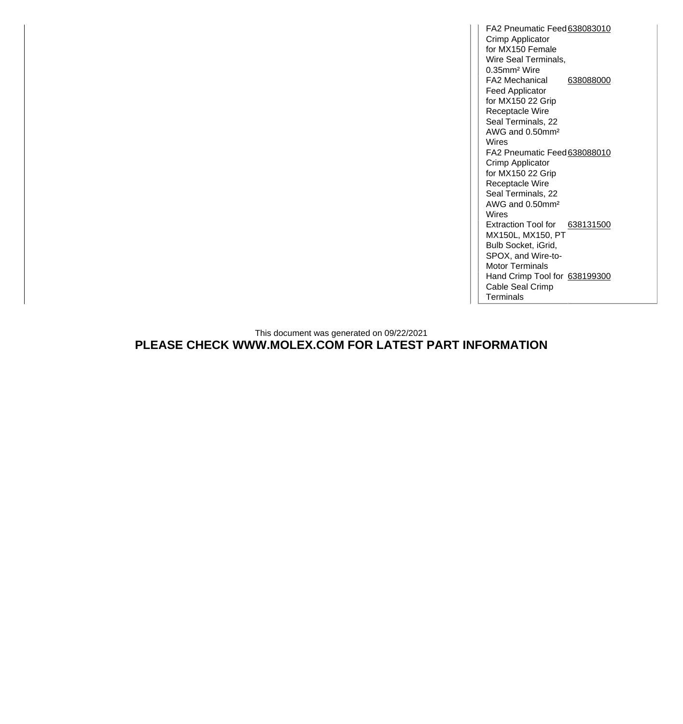FA2 Pneumatic Feed [638083010](http://www.molex.com/molex/products/datasheet.jsp?part=active/0638083010_APPLICATION_TOOLIN.xml) Crimp Applicator for MX150 Female Wire Seal Terminals, 0.35mm² Wire FA2 Mechanical Feed Applicator for MX150 22 Grip Receptacle Wire Seal Terminals, 22 AWG and 0.50mm² Wires [638088000](http://www.molex.com/molex/products/datasheet.jsp?part=active/0638088000_APPLICATION_TOOLIN.xml) FA2 Pneumatic Feed [638088010](http://www.molex.com/molex/products/datasheet.jsp?part=active/0638088010_APPLICATION_TOOLIN.xml) Crimp Applicator for MX150 22 Grip Receptacle Wire Seal Terminals, 22 AWG and 0.50mm² Wires Extraction Tool for [638131500](http://www.molex.com/molex/products/datasheet.jsp?part=active/0638131500_APPLICATION_TOOLIN.xml) MX150L, MX150, PT Bulb Socket, iGrid, SPOX, and Wire-to-Motor Terminals Hand Crimp Tool for [638199300](http://www.molex.com/molex/products/datasheet.jsp?part=active/0638199300_APPLICATION_TOOLIN.xml) Cable Seal Crimp **Terminals** 

This document was generated on 09/22/2021 **PLEASE CHECK WWW.MOLEX.COM FOR LATEST PART INFORMATION**